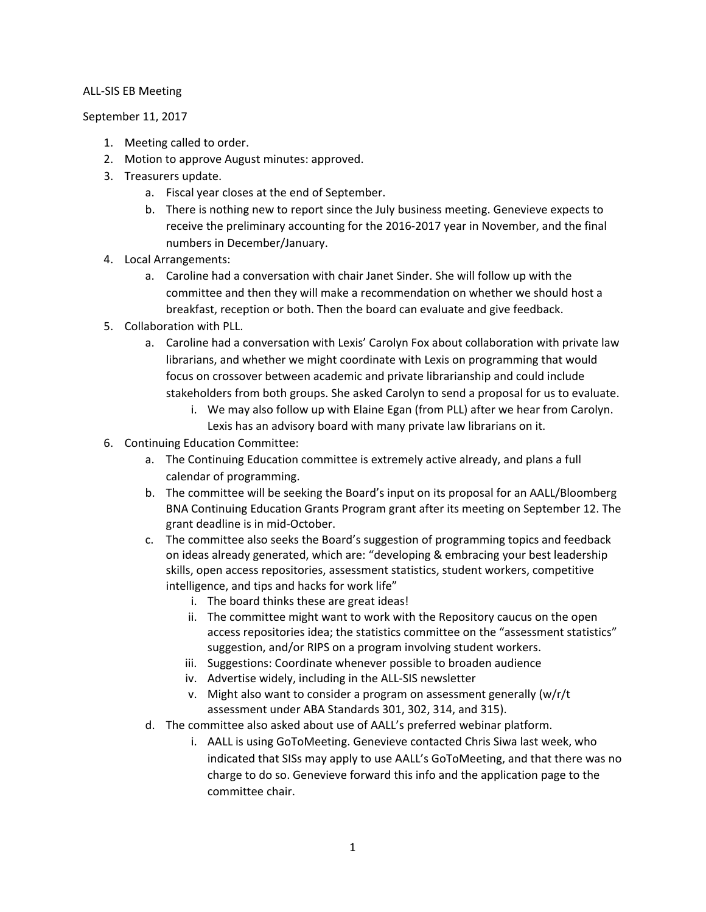## ALL-SIS EB Meeting

September 11, 2017

- 1. Meeting called to order.
- 2. Motion to approve August minutes: approved.
- 3. Treasurers update.
	- a. Fiscal year closes at the end of September.
	- b. There is nothing new to report since the July business meeting. Genevieve expects to receive the preliminary accounting for the 2016-2017 year in November, and the final numbers in December/January.
- 4. Local Arrangements:
	- a. Caroline had a conversation with chair Janet Sinder. She will follow up with the committee and then they will make a recommendation on whether we should host a breakfast, reception or both. Then the board can evaluate and give feedback.
- 5. Collaboration with PLL.
	- a. Caroline had a conversation with Lexis' Carolyn Fox about collaboration with private law librarians, and whether we might coordinate with Lexis on programming that would focus on crossover between academic and private librarianship and could include stakeholders from both groups. She asked Carolyn to send a proposal for us to evaluate.
		- i. We may also follow up with Elaine Egan (from PLL) after we hear from Carolyn. Lexis has an advisory board with many private law librarians on it.
- 6. Continuing Education Committee:
	- a. The Continuing Education committee is extremely active already, and plans a full calendar of programming.
	- b. The committee will be seeking the Board's input on its proposal for an AALL/Bloomberg BNA Continuing Education Grants Program grant after its meeting on September 12. The grant deadline is in mid-October.
	- c. The committee also seeks the Board's suggestion of programming topics and feedback on ideas already generated, which are: "developing & embracing your best leadership skills, open access repositories, assessment statistics, student workers, competitive intelligence, and tips and hacks for work life"
		- i. The board thinks these are great ideas!
		- ii. The committee might want to work with the Repository caucus on the open access repositories idea; the statistics committee on the "assessment statistics" suggestion, and/or RIPS on a program involving student workers.
		- iii. Suggestions: Coordinate whenever possible to broaden audience
		- iv. Advertise widely, including in the ALL-SIS newsletter
		- v. Might also want to consider a program on assessment generally (w/r/t assessment under ABA Standards 301, 302, 314, and 315).
	- d. The committee also asked about use of AALL's preferred webinar platform.
		- i. AALL is using GoToMeeting. Genevieve contacted Chris Siwa last week, who indicated that SISs may apply to use AALL's GoToMeeting, and that there was no charge to do so. Genevieve forward this info and the application page to the committee chair.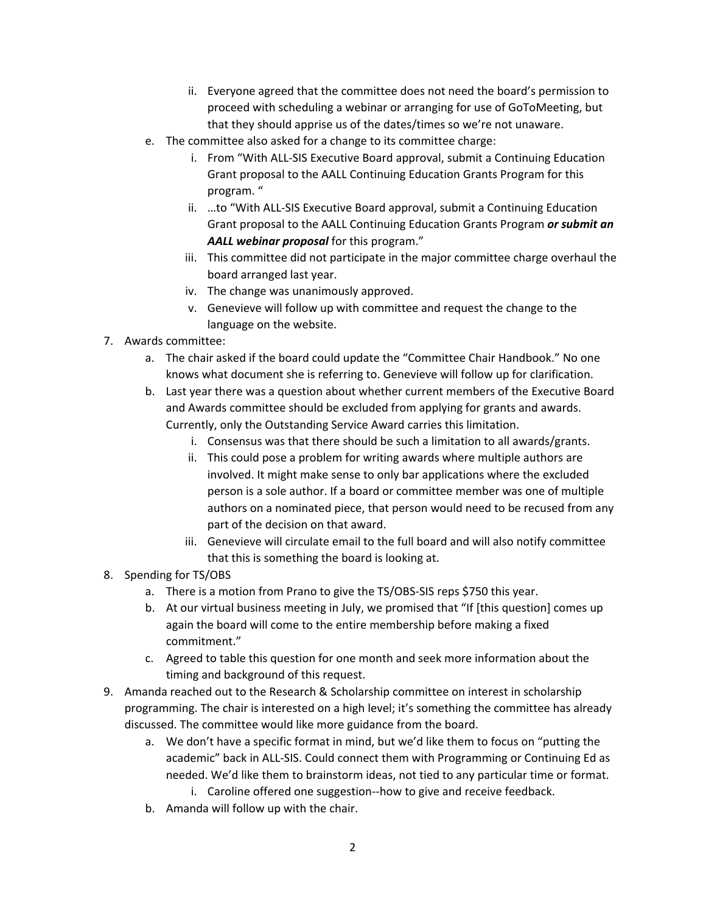- ii. Everyone agreed that the committee does not need the board's permission to proceed with scheduling a webinar or arranging for use of GoToMeeting, but that they should apprise us of the dates/times so we're not unaware.
- e. The committee also asked for a change to its committee charge:
	- i. From "With ALL-SIS Executive Board approval, submit a Continuing Education Grant proposal to the AALL Continuing Education Grants Program for this program. "
	- ii. …to "With ALL-SIS Executive Board approval, submit a Continuing Education Grant proposal to the AALL Continuing Education Grants Program *or submit an AALL webinar proposal* for this program."
	- iii. This committee did not participate in the major committee charge overhaul the board arranged last year.
	- iv. The change was unanimously approved.
	- v. Genevieve will follow up with committee and request the change to the language on the website.
- 7. Awards committee:
	- a. The chair asked if the board could update the "Committee Chair Handbook." No one knows what document she is referring to. Genevieve will follow up for clarification.
	- b. Last year there was a question about whether current members of the Executive Board and Awards committee should be excluded from applying for grants and awards. Currently, only the Outstanding Service Award carries this limitation.
		- i. Consensus was that there should be such a limitation to all awards/grants.
		- ii. This could pose a problem for writing awards where multiple authors are involved. It might make sense to only bar applications where the excluded person is a sole author. If a board or committee member was one of multiple authors on a nominated piece, that person would need to be recused from any part of the decision on that award.
		- iii. Genevieve will circulate email to the full board and will also notify committee that this is something the board is looking at.
- 8. Spending for TS/OBS
	- a. There is a motion from Prano to give the TS/OBS-SIS reps \$750 this year.
	- b. At our virtual business meeting in July, we promised that "If [this question] comes up again the board will come to the entire membership before making a fixed commitment."
	- c. Agreed to table this question for one month and seek more information about the timing and background of this request.
- 9. Amanda reached out to the Research & Scholarship committee on interest in scholarship programming. The chair is interested on a high level; it's something the committee has already discussed. The committee would like more guidance from the board.
	- a. We don't have a specific format in mind, but we'd like them to focus on "putting the academic" back in ALL-SIS. Could connect them with Programming or Continuing Ed as needed. We'd like them to brainstorm ideas, not tied to any particular time or format.
		- i. Caroline offered one suggestion--how to give and receive feedback.
	- b. Amanda will follow up with the chair.